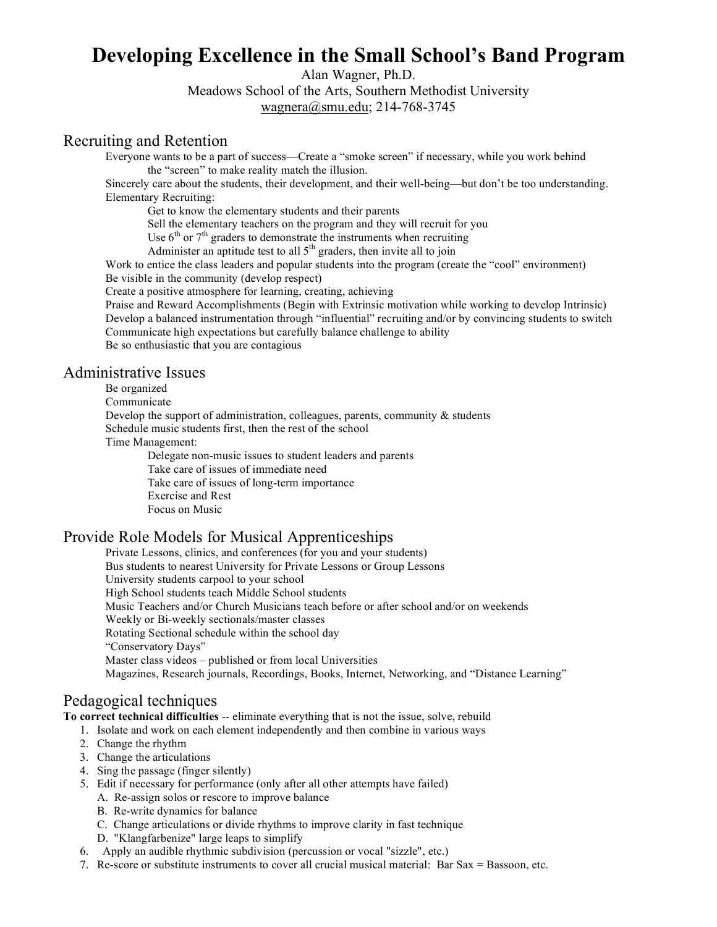# **Developing Excellence in the Small School's Band Program**

Alan Wagner, Ph.D.

Meadows School of the Arts, Southern Methodist University wagnera@smu.edu; 214-768-3745

# Recruiting and Retention

Everyone wants to be a part of success—Create a "smoke screen" if necessary, while you work behind the "screen" to make reality match the illusion.

Sincerely care about the students, their development, and their well-being—but don't be too understanding. Elementary Recruiting:

Get to know the elementary students and their parents

Sell the elementary teachers on the program and they will recruit for you

Use  $6<sup>th</sup>$  or  $7<sup>th</sup>$  graders to demonstrate the instruments when recruiting

Administer an aptitude test to all  $5<sup>th</sup>$  graders, then invite all to join

Work to entice the class leaders and popular students into the program (create the "cool" environment) Be visible in the community (develop respect)

Create a positive atmosphere for learning, creating, achieving

Praise and Reward Accomplishments (Begin with Extrinsic motivation while working to develop Intrinsic) Develop a balanced instrumentation through "influential" recruiting and/or by convincing students to switch Communicate high expectations but carefully balance challenge to ability

Be so enthusiastic that you are contagious

# Administrative Issues

Be organized

Communicate

Develop the support of administration, colleagues, parents, community  $\&$  students Schedule music students first, then the rest of the school

Time Management:

Delegate non-music issues to student leaders and parents Take care of issues of immediate need Take care of issues of long-term importance Exercise and Rest Focus on Music

### Provide Role Models for Musical Apprenticeships

Private Lessons, clinics, and conferences (for you and your students) Bus students to nearest University for Private Lessons or Group Lessons University students carpool to your school High School students teach Middle School students Music Teachers and/or Church Musicians teach before or after school and/or on weekends Weekly or Bi-weekly sectionals/master classes Rotating Sectional schedule within the school day "Conservatory Days" Master class videos – published or from local Universities Magazines, Research journals, Recordings, Books, Internet, Networking, and "Distance Learning"

## Pedagogical techniques

**To correct technical difficulties** -- eliminate everything that is not the issue, solve, rebuild

1. Isolate and work on each element independently and then combine in various ways

- 2. Change the rhythm
- 3. Change the articulations
- 4. Sing the passage (finger silently)
- 5. Edit if necessary for performance (only after all other attempts have failed)
	- A. Re-assign solos or rescore to improve balance
	- B. Re-write dynamics for balance
	- C. Change articulations or divide rhythms to improve clarity in fast technique
	- D. "Klangfarbenize" large leaps to simplify
- 6. Apply an audible rhythmic subdivision (percussion or vocal "sizzle", etc.)
- 7. Re-score or substitute instruments to cover all crucial musical material: Bar Sax = Bassoon, etc.